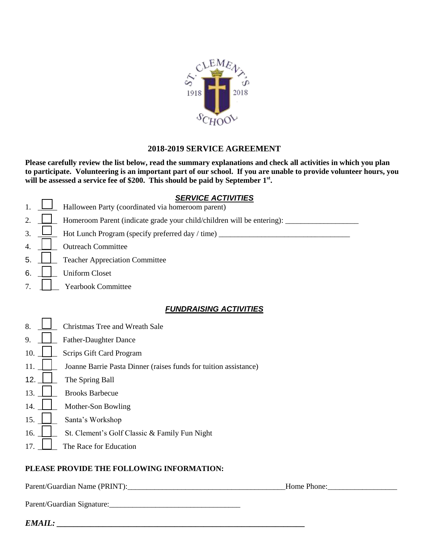

# **2018-2019 SERVICE AGREEMENT**

**Please carefully review the list below, read the summary explanations and check all activities in which you plan to participate. Volunteering is an important part of our school. If you are unable to provide volunteer hours, you will be assessed a service fee of \$200. This should be paid by September 1st .**

### *SERVICE ACTIVITIES*

- 1. **Let** Halloween Party (coordinated via homeroom parent) 2.  $\Box$  Homeroom Parent (indicate grade your child/children will be entering): 3. \_\_\_\_\_ Hot Lunch Program (specify preferred day / time) \_\_\_\_\_\_\_\_\_\_\_\_\_\_\_\_\_\_\_\_\_\_\_\_\_\_\_\_\_\_\_\_\_\_ 4. **Quellet** Outreach Committee 5. **Legendia** Teacher Appreciation Committee 6. | | Uniform Closet 7. **Wearbook Committee** *FUNDRAISING ACTIVITIES*
- $8. \quad \Box$  Christmas Tree and Wreath Sale
- 9. **Letter-Daughter Dance**
- 10. | Scrips Gift Card Program
- 11. **J** Joanne Barrie Pasta Dinner (raises funds for tuition assistance)
- 12.  $\Box$  The Spring Ball
- 13. **Brooks Barbecue**
- 14. | Mother-Son Bowling
- 15. Santa's Workshop
- 16. | St. Clement's Golf Classic & Family Fun Night
- 17. **I** The Race for Education

## **PLEASE PROVIDE THE FOLLOWING INFORMATION:**

Parent/Guardian Name (PRINT):\_\_\_\_\_\_\_\_\_\_\_\_\_\_\_\_\_\_\_\_\_\_\_\_\_\_\_\_\_\_\_\_\_\_\_\_\_\_\_\_\_Home Phone:\_\_\_\_\_\_\_\_\_\_\_\_\_\_\_\_\_\_

Parent/Guardian Signature:\_\_\_\_\_\_\_\_\_\_\_\_\_\_\_\_\_\_\_\_\_\_\_\_\_\_\_\_\_\_\_\_\_\_

*EMAIL: \_\_\_\_\_\_\_\_\_\_\_\_\_\_\_\_\_\_\_\_\_\_\_\_\_\_\_\_\_\_\_\_\_\_\_\_\_\_\_\_\_\_\_\_\_\_\_\_\_\_\_\_\_\_\_\_\_\_\_*